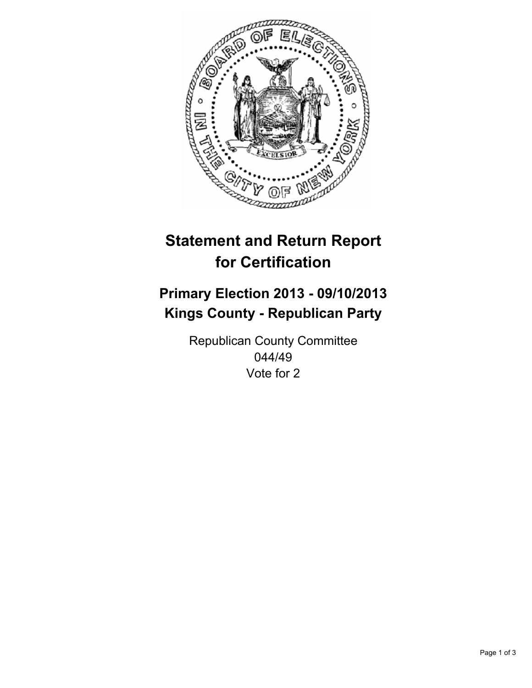

# **Statement and Return Report for Certification**

# **Primary Election 2013 - 09/10/2013 Kings County - Republican Party**

Republican County Committee 044/49 Vote for 2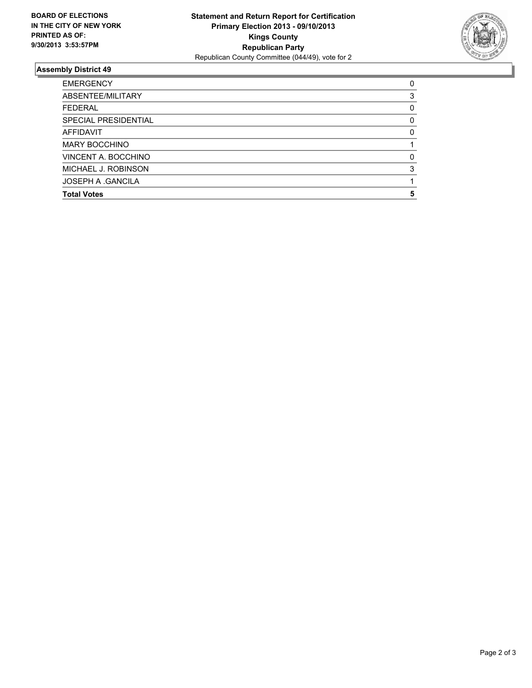

## **Assembly District 49**

| <b>Total Votes</b>       | 5        |
|--------------------------|----------|
| <b>JOSEPH A .GANCILA</b> |          |
| MICHAEL J. ROBINSON      | 3        |
| VINCENT A. BOCCHINO      | O        |
| <b>MARY BOCCHINO</b>     |          |
| <b>AFFIDAVIT</b>         | $\Omega$ |
| SPECIAL PRESIDENTIAL     | 0        |
| <b>FEDERAL</b>           | 0        |
| ABSENTEE/MILITARY        | 3        |
| <b>EMERGENCY</b>         | 0        |